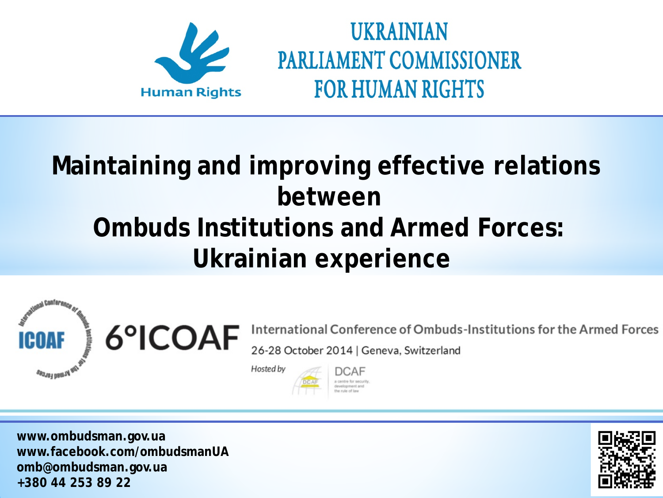

# **Maintaining and improving effective relations between Ombuds Institutions and Armed Forces: Ukrainian experience**



International Conference of Ombuds-Institutions for the Armed Forces 26-28 October 2014 | Geneva, Switzerland

Hosted by

DCAF

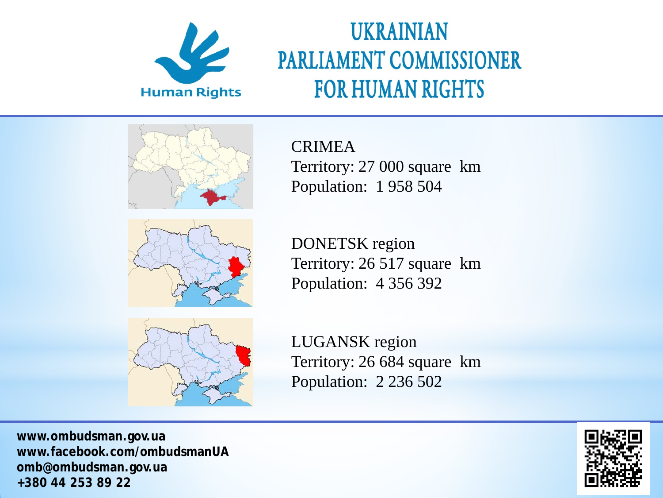



CRIMEA Territory: 27 000 square km Population: 1 958 504

DONETSK region Territory: 26 517 square km Population: 4 356 392



LUGANSK region Territory: 26 684 square km Population: 2 236 502

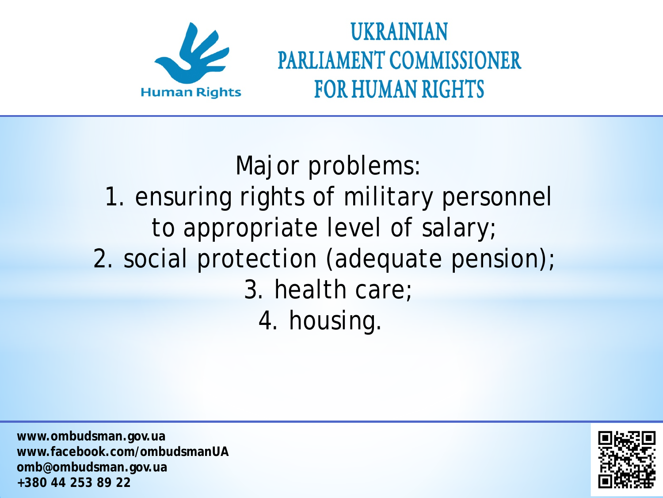

Major problems: 1. ensuring rights of military personnel to appropriate level of salary; 2. social protection (adequate pension); 3. health care; 4. housing.

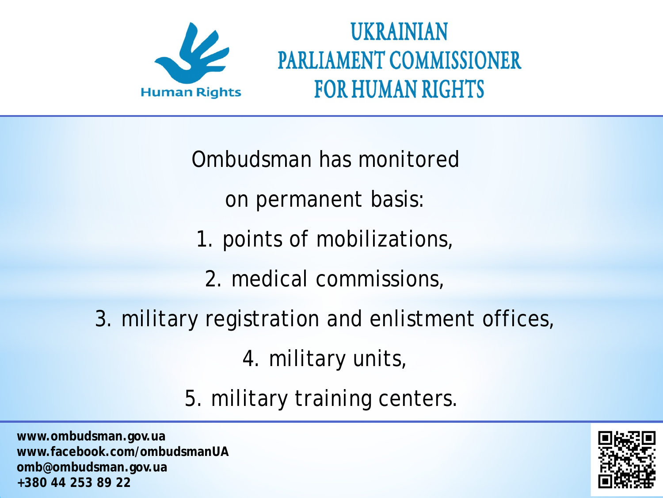

Ombudsman has monitored

on permanent basis:

- 1. points of mobilizations,
	- 2. medical commissions,
- 3. military registration and enlistment offices,

4. military units,

5. military training centers.

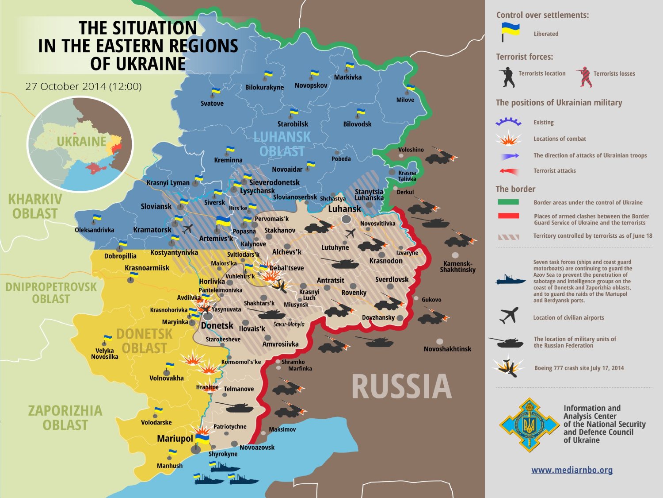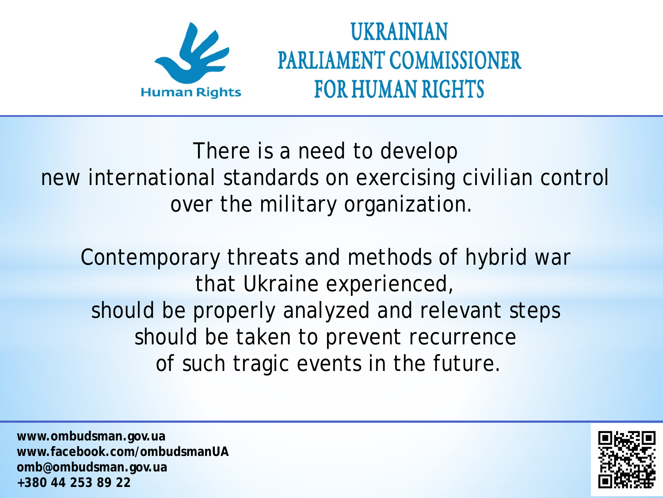

There is a need to develop new international standards on exercising civilian control over the military organization.

Contemporary threats and methods of hybrid war that Ukraine experienced, should be properly analyzed and relevant steps should be taken to prevent recurrence of such tragic events in the future.